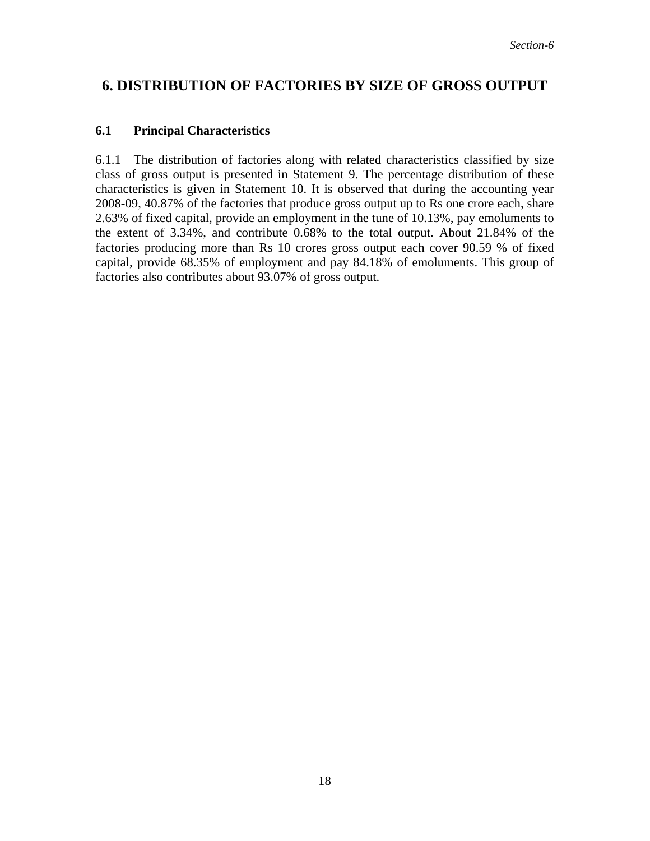## **6. DISTRIBUTION OF FACTORIES BY SIZE OF GROSS OUTPUT**

## **6.1 Principal Characteristics**

6.1.1 The distribution of factories along with related characteristics classified by size class of gross output is presented in Statement 9. The percentage distribution of these characteristics is given in Statement 10. It is observed that during the accounting year 2008-09, 40.87% of the factories that produce gross output up to Rs one crore each, share 2.63% of fixed capital, provide an employment in the tune of 10.13%, pay emoluments to the extent of 3.34%, and contribute 0.68% to the total output. About 21.84% of the factories producing more than Rs 10 crores gross output each cover 90.59 % of fixed capital, provide 68.35% of employment and pay 84.18% of emoluments. This group of factories also contributes about 93.07% of gross output.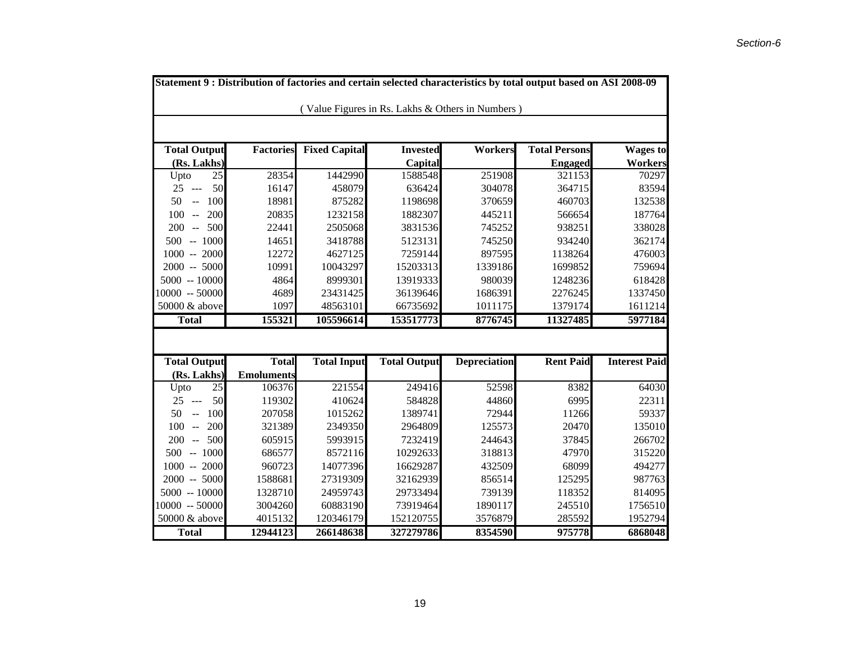| Statement 9 : Distribution of factories and certain selected characteristics by total output based on ASI 2008-09 |                   |                      |                     |                     |                      |                      |  |  |  |  |  |
|-------------------------------------------------------------------------------------------------------------------|-------------------|----------------------|---------------------|---------------------|----------------------|----------------------|--|--|--|--|--|
| (Value Figures in Rs. Lakhs & Others in Numbers)                                                                  |                   |                      |                     |                     |                      |                      |  |  |  |  |  |
|                                                                                                                   |                   |                      |                     |                     |                      |                      |  |  |  |  |  |
|                                                                                                                   |                   |                      |                     |                     |                      |                      |  |  |  |  |  |
| <b>Total Output</b>                                                                                               | <b>Factories</b>  | <b>Fixed Capital</b> | <b>Invested</b>     | <b>Workers</b>      | <b>Total Persons</b> | <b>Wages to</b>      |  |  |  |  |  |
| (Rs. Lakhs)                                                                                                       |                   |                      | Capital             |                     | <b>Engaged</b>       | Workers              |  |  |  |  |  |
| 25<br>Upto                                                                                                        | 28354             | 1442990              | 1588548             | 251908              | 321153               | 70297                |  |  |  |  |  |
| 25<br>50<br>$\sim$                                                                                                | 16147             | 458079               | 636424              | 304078              | 364715               | 83594                |  |  |  |  |  |
| 50<br>100<br>$\overline{a}$                                                                                       | 18981             | 875282               | 1198698             | 370659              | 460703               | 132538               |  |  |  |  |  |
| 200<br>100<br>$\sim$ $\sim$                                                                                       | 20835             | 1232158              | 1882307             | 445211              | 566654               | 187764               |  |  |  |  |  |
| 500<br>200<br>$\sim$                                                                                              | 22441             | 2505068              | 3831536             | 745252              | 938251               | 338028               |  |  |  |  |  |
| $-1000$<br>500                                                                                                    | 14651             | 3418788              | 5123131             | 745250              | 934240               | 362174               |  |  |  |  |  |
| $1000 - 2000$                                                                                                     | 12272             | 4627125              | 7259144             | 897595              | 1138264              | 476003               |  |  |  |  |  |
| $2000 - 5000$                                                                                                     | 10991             | 10043297             | 15203313            | 1339186             | 1699852              | 759694               |  |  |  |  |  |
| $5000 - 10000$                                                                                                    | 4864              | 8999301              | 13919333            | 980039              | 1248236              | 618428               |  |  |  |  |  |
| 10000 -- 50000                                                                                                    | 4689              | 23431425             | 36139646            | 1686391             | 2276245              | 1337450              |  |  |  |  |  |
| 50000 & above                                                                                                     | 1097              | 48563101             | 66735692            | 1011175             | 1379174              | 1611214              |  |  |  |  |  |
| <b>Total</b>                                                                                                      | 155321            | 105596614            | 153517773           | 8776745             | 11327485             | 5977184              |  |  |  |  |  |
|                                                                                                                   |                   |                      |                     |                     |                      |                      |  |  |  |  |  |
|                                                                                                                   |                   |                      |                     |                     |                      |                      |  |  |  |  |  |
| <b>Total Output</b>                                                                                               | <b>Total</b>      | <b>Total Input</b>   | <b>Total Output</b> | <b>Depreciation</b> | <b>Rent Paid</b>     | <b>Interest Paid</b> |  |  |  |  |  |
| (Rs. Lakhs)                                                                                                       | <b>Emoluments</b> |                      |                     |                     |                      |                      |  |  |  |  |  |
| 25<br>Upto                                                                                                        | 106376            | 221554               | 249416              | 52598               | 8382                 | 64030                |  |  |  |  |  |
| 50<br>25<br>$\sim$                                                                                                | 119302            | 410624               | 584828              | 44860               | 6995                 | 22311                |  |  |  |  |  |
| 50<br>100<br>$\mathbb{L}^{\mathbb{L}}$                                                                            | 207058            | 1015262              | 1389741             | 72944               | 11266                | 59337                |  |  |  |  |  |
| 200<br>100<br>$\mathbb{L}$                                                                                        | 321389            | 2349350              | 2964809             | 125573              | 20470                | 135010               |  |  |  |  |  |
| 500<br>200<br>$\sim$                                                                                              | 605915            | 5993915              | 7232419             | 244643              | 37845                | 266702               |  |  |  |  |  |
| $-1000$<br>500                                                                                                    | 686577            | 8572116              | 10292633            | 318813              | 47970                | 315220               |  |  |  |  |  |
| $1000 - 2000$                                                                                                     | 960723            | 14077396             | 16629287            | 432509              | 68099                | 494277               |  |  |  |  |  |
| $2000 - 5000$                                                                                                     | 1588681           | 27319309             | 32162939            | 856514              | 125295               | 987763               |  |  |  |  |  |
| $5000 - 10000$                                                                                                    | 1328710           | 24959743             | 29733494            | 739139              | 118352               | 814095               |  |  |  |  |  |
| $10000 - 50000$                                                                                                   | 3004260           | 60883190             | 73919464            | 1890117             | 245510               | 1756510              |  |  |  |  |  |
| 50000 & above                                                                                                     | 4015132           | 120346179            | 152120755           | 3576879             | 285592               | 1952794              |  |  |  |  |  |
| <b>Total</b>                                                                                                      | 12944123          | 266148638            | 327279786           | 8354590             | 975778               | 6868048              |  |  |  |  |  |